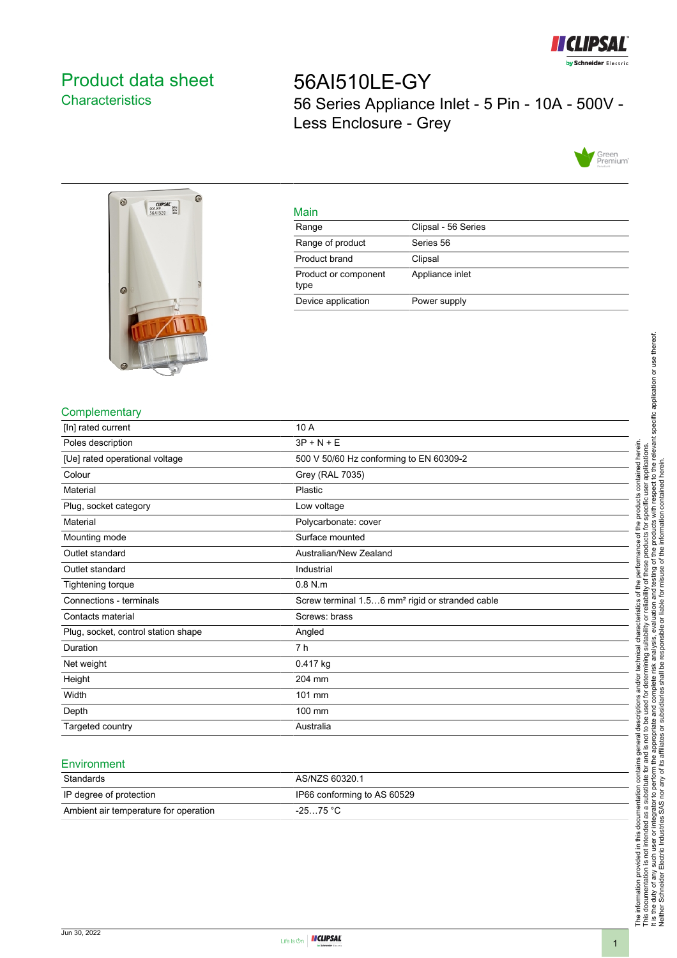

# <span id="page-0-0"></span>Product data sheet **Characteristics**

56AI510LE-GY 56 Series Appliance Inlet - 5 Pin - 10A - 500V - Less Enclosure - Grey





#### Main

| Range                        | Clipsal - 56 Series |
|------------------------------|---------------------|
| Range of product             | Series 56           |
| Product brand                | Clipsal             |
| Product or component<br>type | Appliance inlet     |
| Device application           | Power supply        |

### **Complementary**

| [In] rated current                  | 10 A                                                        |
|-------------------------------------|-------------------------------------------------------------|
| Poles description                   | $3P + N + E$                                                |
| [Ue] rated operational voltage      | 500 V 50/60 Hz conforming to EN 60309-2                     |
| Colour                              | Grey (RAL 7035)                                             |
| Material                            | Plastic                                                     |
| Plug, socket category               | Low voltage                                                 |
| Material                            | Polycarbonate: cover                                        |
| Mounting mode                       | Surface mounted                                             |
| Outlet standard                     | Australian/New Zealand                                      |
| Outlet standard                     | Industrial                                                  |
| Tightening torque                   | $0.8$ N.m                                                   |
| Connections - terminals             | Screw terminal 1.56 mm <sup>2</sup> rigid or stranded cable |
| Contacts material                   | Screws: brass                                               |
| Plug, socket, control station shape | Angled                                                      |
| Duration                            | 7 h                                                         |
| Net weight                          | 0.417 kg                                                    |
| Height                              | 204 mm                                                      |
| Width                               | 101 mm                                                      |
| Depth                               | 100 mm                                                      |
| Targeted country                    | Australia                                                   |

#### **Environment**

| Standards                             | AS/NZS 60320.1              |
|---------------------------------------|-----------------------------|
| IP degree of protection               | IP66 conforming to AS 60529 |
| Ambient air temperature for operation | $-2575 °C$                  |